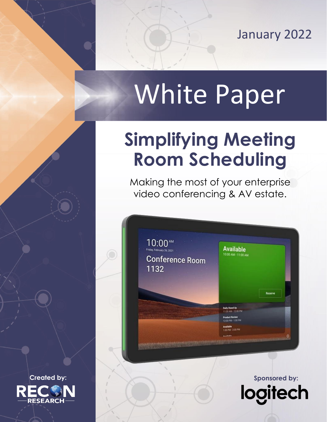January 2022

tech

**logi** 

# White Paper

## **Simplifying Meeting Room Scheduling**

Making the most of your enterprise video conferencing & AV estate.



**Created by:** Sponsored by: Sponsored by: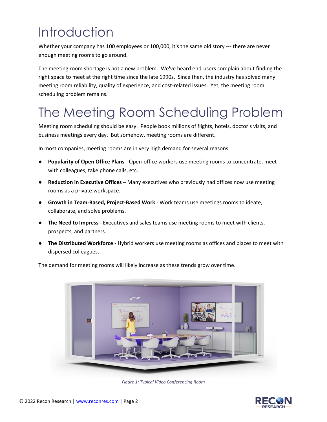### **Introduction**

Whether your company has 100 employees or 100,000, it's the same old story --- there are never enough meeting rooms to go around.

The meeting room shortage is not a new problem. We've heard end-users complain about finding the right space to meet at the right time since the late 1990s. Since then, the industry has solved many meeting room reliability, quality of experience, and cost-related issues. Yet, the meeting room scheduling problem remains.

### The Meeting Room Scheduling Problem

Meeting room scheduling should be easy. People book millions of flights, hotels, doctor's visits, and business meetings every day. But somehow, meeting rooms are different.

In most companies, meeting rooms are in very high demand for several reasons.

- **Popularity of Open Office Plans** Open-office workers use meeting rooms to concentrate, meet with colleagues, take phone calls, etc.
- **Reduction in Executive Offices** Many executives who previously had offices now use meeting rooms as a private workspace.
- **Growth in Team-Based, Project-Based Work** Work teams use meetings rooms to ideate, collaborate, and solve problems.
- **The Need to Impress** Executives and sales teams use meeting rooms to meet with clients, prospects, and partners.
- **The Distributed Workforce** Hybrid workers use meeting rooms as offices and places to meet with dispersed colleagues.



The demand for meeting rooms will likely increase as these trends grow over time.

*Figure 1: Typical Video Conferencing Room*

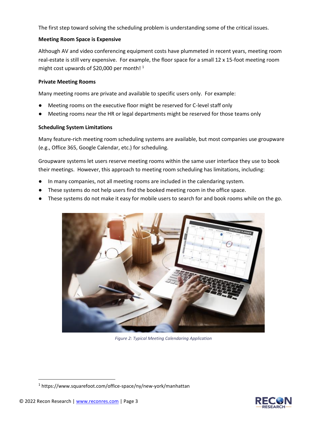The first step toward solving the scheduling problem is understanding some of the critical issues.

#### **Meeting Room Space is Expensive**

Although AV and video conferencing equipment costs have plummeted in recent years, meeting room real-estate is still very expensive. For example, the floor space for a small 12 x 15-foot meeting room might cost upwards of \$20,000 per month! $1$ 

#### **Private Meeting Rooms**

Many meeting rooms are private and available to specific users only. For example:

- Meeting rooms on the executive floor might be reserved for C-level staff only
- Meeting rooms near the HR or legal departments might be reserved for those teams only

#### **Scheduling System Limitations**

Many feature-rich meeting room scheduling systems are available, but most companies use groupware (e.g., Office 365, Google Calendar, etc.) for scheduling.

Groupware systems let users reserve meeting rooms within the same user interface they use to book their meetings. However, this approach to meeting room scheduling has limitations, including:

- In many companies, not all meeting rooms are included in the calendaring system.
- These systems do not help users find the booked meeting room in the office space.
- These systems do not make it easy for mobile users to search for and book rooms while on the go.



*Figure 2: Typical Meeting Calendaring Application*



<sup>1</sup> https://www.squarefoot.com/office-space/ny/new-york/manhattan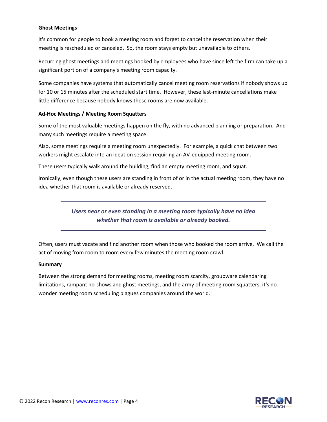#### **Ghost Meetings**

It's common for people to book a meeting room and forget to cancel the reservation when their meeting is rescheduled or canceled. So, the room stays empty but unavailable to others.

Recurring ghost meetings and meetings booked by employees who have since left the firm can take up a significant portion of a company's meeting room capacity.

Some companies have systems that automatically cancel meeting room reservations if nobody shows up for 10 or 15 minutes after the scheduled start time. However, these last-minute cancellations make little difference because nobody knows these rooms are now available.

#### **Ad-Hoc Meetings / Meeting Room Squatters**

Some of the most valuable meetings happen on the fly, with no advanced planning or preparation. And many such meetings require a meeting space.

Also, some meetings require a meeting room unexpectedly. For example, a quick chat between two workers might escalate into an ideation session requiring an AV-equipped meeting room.

These users typically walk around the building, find an empty meeting room, and squat.

Ironically, even though these users are standing in front of or in the actual meeting room, they have no idea whether that room is available or already reserved.

> *Users near or even standing in a meeting room typically have no idea whether that room is available or already booked.*

Often, users must vacate and find another room when those who booked the room arrive. We call the act of moving from room to room every few minutes the meeting room crawl.

#### **Summary**

Between the strong demand for meeting rooms, meeting room scarcity, groupware calendaring limitations, rampant no-shows and ghost meetings, and the army of meeting room squatters, it's no wonder meeting room scheduling plagues companies around the world.

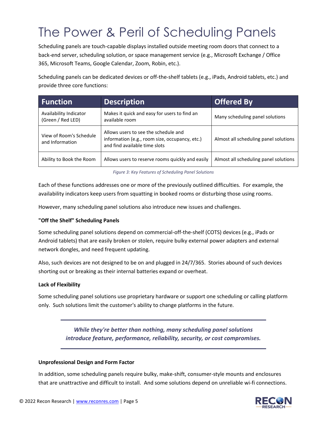### The Power & Peril of Scheduling Panels

Scheduling panels are touch-capable displays installed outside meeting room doors that connect to a back-end server, scheduling solution, or space management service (e.g., Microsoft Exchange / Office 365, Microsoft Teams, Google Calendar, Zoom, Robin, etc.).

Scheduling panels can be dedicated devices or off-the-shelf tablets (e.g., iPads, Android tablets, etc.) and provide three core functions:

| <b>Function</b>                             | <b>Description</b>                                                                                                      | <b>Offered By</b>                     |
|---------------------------------------------|-------------------------------------------------------------------------------------------------------------------------|---------------------------------------|
| Availability Indicator<br>(Green / Red LED) | Makes it quick and easy for users to find an<br>available room                                                          | Many scheduling panel solutions       |
| View of Room's Schedule<br>and Information  | Allows users to see the schedule and<br>information (e.g., room size, occupancy, etc.)<br>and find available time slots | Almost all scheduling panel solutions |
| Ability to Book the Room                    | Allows users to reserve rooms quickly and easily                                                                        | Almost all scheduling panel solutions |

*Figure 3: Key Features of Scheduling Panel Solutions*

Each of these functions addresses one or more of the previously outlined difficulties. For example, the availability indicators keep users from squatting in booked rooms or disturbing those using rooms.

However, many scheduling panel solutions also introduce new issues and challenges.

#### **"Off the Shelf" Scheduling Panels**

Some scheduling panel solutions depend on commercial-off-the-shelf (COTS) devices (e.g., iPads or Android tablets) that are easily broken or stolen, require bulky external power adapters and external network dongles, and need frequent updating.

Also, such devices are not designed to be on and plugged in 24/7/365. Stories abound of such devices shorting out or breaking as their internal batteries expand or overheat.

#### **Lack of Flexibility**

Some scheduling panel solutions use proprietary hardware or support one scheduling or calling platform only. Such solutions limit the customer's ability to change platforms in the future.

#### *While they're better than nothing, many scheduling panel solutions introduce feature, performance, reliability, security, or cost compromises.*

#### **Unprofessional Design and Form Factor**

In addition, some scheduling panels require bulky, make-shift, consumer-style mounts and enclosures that are unattractive and difficult to install. And some solutions depend on unreliable wi-fi connections.

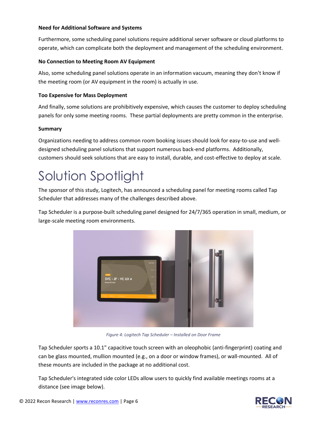#### **Need for Additional Software and Systems**

Furthermore, some scheduling panel solutions require additional server software or cloud platforms to operate, which can complicate both the deployment and management of the scheduling environment.

#### **No Connection to Meeting Room AV Equipment**

Also, some scheduling panel solutions operate in an information vacuum, meaning they don't know if the meeting room (or AV equipment in the room) is actually in use.

#### **Too Expensive for Mass Deployment**

And finally, some solutions are prohibitively expensive, which causes the customer to deploy scheduling panels for only some meeting rooms. These partial deployments are pretty common in the enterprise.

#### **Summary**

Organizations needing to address common room booking issues should look for easy-to-use and welldesigned scheduling panel solutions that support numerous back-end platforms. Additionally, customers should seek solutions that are easy to install, durable, and cost-effective to deploy at scale.

### Solution Spotlight

The sponsor of this study, Logitech, has announced a scheduling panel for meeting rooms called Tap Scheduler that addresses many of the challenges described above.

Tap Scheduler is a purpose-built scheduling panel designed for 24/7/365 operation in small, medium, or large-scale meeting room environments.



*Figure 4: Logitech Tap Scheduler – Installed on Door Frame*

Tap Scheduler sports a 10.1" capacitive touch screen with an oleophobic (anti-fingerprint) coating and can be glass mounted, mullion mounted (e.g., on a door or window frames), or wall-mounted. All of these mounts are included in the package at no additional cost.

Tap Scheduler's integrated side color LEDs allow users to quickly find available meetings rooms at a distance (see image below).

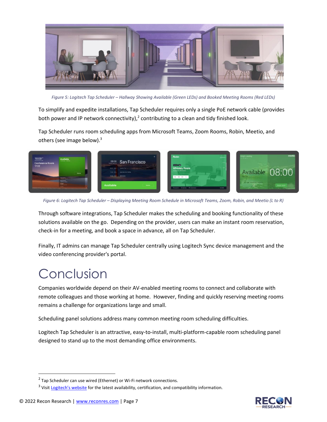

*Figure 5: Logitech Tap Scheduler – Hallway Showing Available (Green LEDs) and Booked Meeting Rooms (Red LEDs)*

To simplify and expedite installations, Tap Scheduler requires only a single PoE network cable (provides both power and IP network connectivity),<sup>2</sup> contributing to a clean and tidy finished look.

Tap Scheduler runs room scheduling apps from Microsoft Teams, Zoom Rooms, Robin, Meetio, and others (see image below).<sup>3</sup>



*Figure 6: Logitech Tap Scheduler – Displaying Meeting Room Schedule in Microsoft Teams, Zoom, Robin, and Meetio (L to R)*

Through software integrations, Tap Scheduler makes the scheduling and booking functionality of these solutions available on the go. Depending on the provider, users can make an instant room reservation, check-in for a meeting, and book a space in advance, all on Tap Scheduler.

Finally, IT admins can manage Tap Scheduler centrally using Logitech Sync device management and the video conferencing provider's portal.

### Conclusion

Companies worldwide depend on their AV-enabled meeting rooms to connect and collaborate with remote colleagues and those working at home. However, finding and quickly reserving meeting rooms remains a challenge for organizations large and small.

Scheduling panel solutions address many common meeting room scheduling difficulties.

Logitech Tap Scheduler is an attractive, easy-to-install, multi-platform-capable room scheduling panel designed to stand up to the most demanding office environments.



 $2$  Tap Scheduler can use wired (Ethernet) or Wi-Fi network connections.

<sup>&</sup>lt;sup>3</sup> Visit [Logitech's website](https://www.logitech.com/support/tap-compatibility) for the latest availability, certification, and compatibility information.